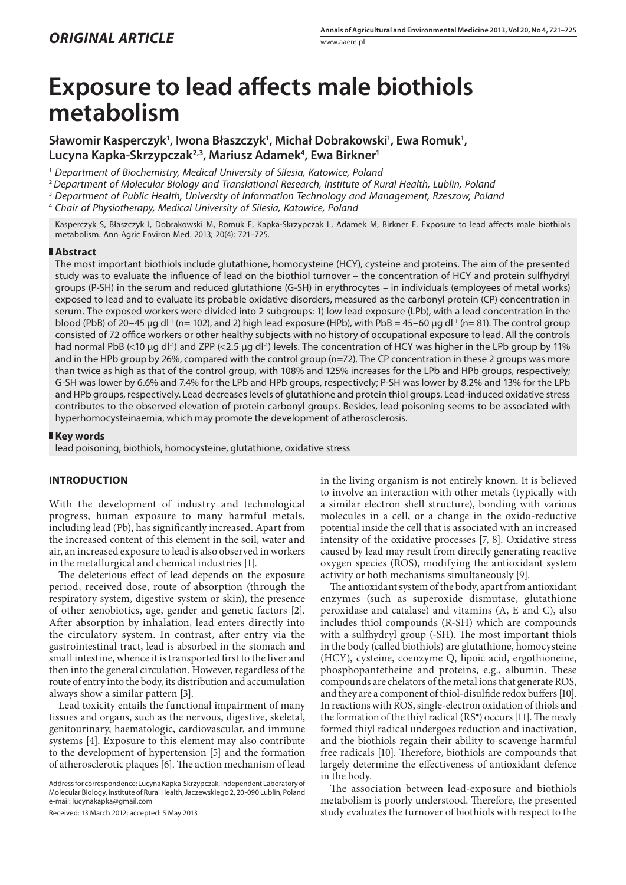# **Exposure to lead affects male biothiols metabolism**

Sławomir Kasperczyk<sup>1</sup>, Iwona Błaszczyk<sup>1</sup>, Michał Dobrakowski<sup>1</sup>, Ewa Romuk<sup>1</sup>, **Lucyna Kapka-Skrzypczak2,3, Mariusz Adamek4 , Ewa Birkner1**

<sup>1</sup> Department of Biochemistry, Medical University of Silesia, Katowice, Poland

<sup>2</sup>*Department of Molecular Biology and Translational Research, Institute of Rural Health, Lublin, Poland*

3  *Department of Public Health, University of Information Technology and Management, Rzeszow, Poland*

4  *Chair of Physiotherapy, Medical University of Silesia, Katowice, Poland*

Kasperczyk S, Błaszczyk I, Dobrakowski M, Romuk E, Kapka-Skrzypczak L, Adamek M, Birkner E. Exposure to lead affects male biothiols metabolism. Ann Agric Environ Med. 2013; 20(4): 721–725.

# **Abstract**

The most important biothiols include glutathione, homocysteine (HCY), cysteine and proteins. The aim of the presented study was to evaluate the influence of lead on the biothiol turnover – the concentration of HCY and protein sulfhydryl groups (P-SH) in the serum and reduced glutathione (G-SH) in erythrocytes – in individuals (employees of metal works) exposed to lead and to evaluate its probable oxidative disorders, measured as the carbonyl protein (CP) concentration in serum. The exposed workers were divided into 2 subgroups: 1) low lead exposure (LPb), with a lead concentration in the blood (PbB) of 20–45 µg dl<sup>-1</sup> (n= 102), and 2) high lead exposure (HPb), with PbB = 45–60 µg dl<sup>-1</sup> (n= 81). The control group consisted of 72 office workers or other healthy subjects with no history of occupational exposure to lead. All the controls had normal PbB (<10 μg dl<sup>-1</sup>) and ZPP (<2.5 μg dl<sup>-1</sup>) levels. The concentration of HCY was higher in the LPb group by 11% and in the HPb group by 26%, compared with the control group (n=72). The CP concentration in these 2 groups was more than twice as high as that of the control group, with 108% and 125% increases for the LPb and HPb groups, respectively; G-SH was lower by 6.6% and 7.4% for the LPb and HPb groups, respectively; P-SH was lower by 8.2% and 13% for the LPb and HPb groups, respectively. Lead decreases levels of glutathione and protein thiol groups. Lead-induced oxidative stress contributes to the observed elevation of protein carbonyl groups. Besides, lead poisoning seems to be associated with hyperhomocysteinaemia, which may promote the development of atherosclerosis.

### **Key words**

lead poisoning, biothiols, homocysteine, glutathione, oxidative stress

# **INTRODUCTION**

With the development of industry and technological progress, human exposure to many harmful metals, including lead (Pb), has significantly increased. Apart from the increased content of this element in the soil, water and air, an increased exposure to lead is also observed in workers in the metallurgical and chemical industries [1].

The deleterious effect of lead depends on the exposure period, received dose, route of absorption (through the respiratory system, digestive system or skin), the presence of other xenobiotics, age, gender and genetic factors [2]. After absorption by inhalation, lead enters directly into the circulatory system. In contrast, after entry via the gastrointestinal tract, lead is absorbed in the stomach and small intestine, whence it is transported first to the liver and then into the general circulation. However, regardless of the route of entry into the body, its distribution and accumulation always show a similar pattern [3].

Lead toxicity entails the functional impairment of many tissues and organs, such as the nervous, digestive, skeletal, genitourinary, haematologic, cardiovascular, and immune systems [4]. Exposure to this element may also contribute to the development of hypertension [5] and the formation of atherosclerotic plaques [6]. The action mechanism of lead

Address for correspondence: Lucyna Kapka-Skrzypczak, Independent Laboratory of Molecular Biology, Institute of Rural Health, Jaczewskiego 2, 20-090 Lublin, Poland e-mail: lucynakapka@gmail.com

Received: 13 March 2012; accepted: 5 May 2013

in the living organism is not entirely known. It is believed to involve an interaction with other metals (typically with a similar electron shell structure), bonding with various molecules in a cell, or a change in the oxido-reductive potential inside the cell that is associated with an increased intensity of the oxidative processes [7, 8]. Oxidative stress caused by lead may result from directly generating reactive oxygen species (ROS), modifying the antioxidant system activity or both mechanisms simultaneously [9].

The antioxidant system of the body, apart from antioxidant enzymes (such as superoxide dismutase, glutathione peroxidase and catalase) and vitamins (A, E and C), also includes thiol compounds (R-SH) which are compounds with a sulfhydryl group (-SH). The most important thiols in the body (called biothiols) are glutathione, homocysteine (HCY), cysteine, coenzyme Q, lipoic acid, ergothioneine, phosphopantetheine and proteins, e.g., albumin. These compounds are chelators of the metal ions that generate ROS, and they are a component of thiol-disulfide redox buffers [10]. In reactions with ROS, single-electron oxidation of thiols and the formation of the thiyl radical (RS● ) occurs [11]. The newly formed thiyl radical undergoes reduction and inactivation, and the biothiols regain their ability to scavenge harmful free radicals [10]. Therefore, biothiols are compounds that largely determine the effectiveness of antioxidant defence in the body.

The association between lead-exposure and biothiols metabolism is poorly understood. Therefore, the presented study evaluates the turnover of biothiols with respect to the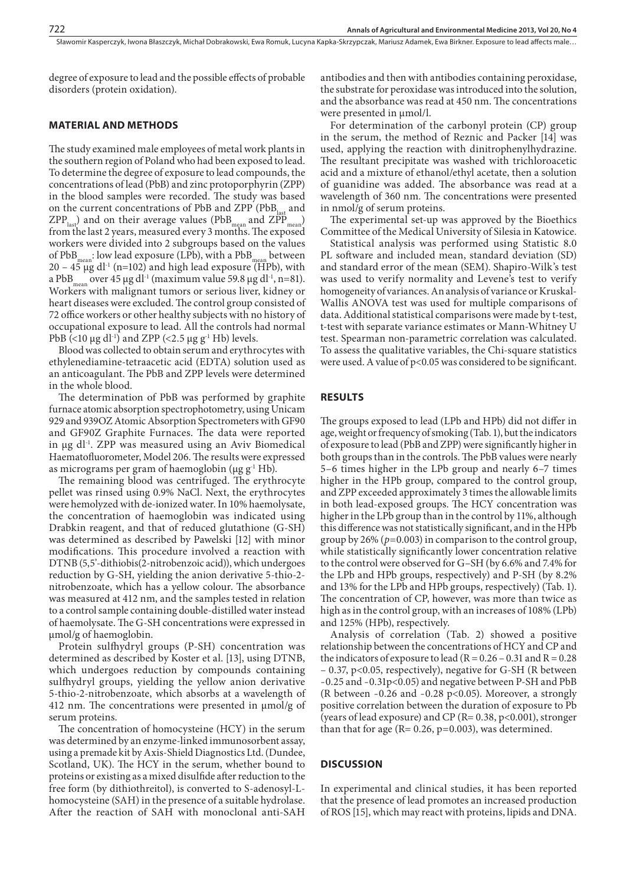Sławomir Kasperczyk, Iwona Błaszczyk, Michał Dobrakowski, Ewa Romuk, Lucyna Kapka-Skrzypczak, Mariusz Adamek, Ewa Birkner . Exposure to lead affects male…

degree of exposure to lead and the possible effects of probable disorders (protein oxidation).

## **MATERIAL AND METHODS**

The study examined male employees of metal work plants in the southern region of Poland who had been exposed to lead. To determine the degree of exposure to lead compounds, the concentrations of lead (PbB) and zinc protoporphyrin (ZPP) in the blood samples were recorded. The study was based on the current concentrations of PbB and ZPP ( $PbB<sub>last</sub>$  and  $ZPP_{\text{last}}$ ) and on their average values (PbB<sub>mean</sub> and  $ZPP_{\text{mean}}$ ) from the last 2 years, measured every 3 months. The exposed workers were divided into 2 subgroups based on the values of PbB<sub>mean</sub>: low lead exposure (LPb), with a PbB<sub>mean</sub> between  $20 - 45$  µg dl<sup>-1</sup> (n=102) and high lead exposure (HPb), with a PbB<sub>mean</sub> over 45 µg dl<sup>-1</sup> (maximum value 59.8 µg dl<sup>-1</sup>, n=81). Workers with malignant tumors or serious liver, kidney or heart diseases were excluded. The control group consisted of 72 office workers or other healthy subjects with no history of occupational exposure to lead. All the controls had normal PbB (<10  $\mu$ g dl<sup>-1</sup>) and ZPP (<2.5  $\mu$ g g<sup>-1</sup> Hb) levels.

Blood was collected to obtain serum and erythrocytes with ethylenediamine-tetraacetic acid (EDTA) solution used as an anticoagulant. The PbB and ZPP levels were determined in the whole blood.

The determination of PbB was performed by graphite furnace atomic absorption spectrophotometry, using Unicam 929 and 939OZ Atomic Absorption Spectrometers with GF90 and GF90Z Graphite Furnaces. The data were reported in µg dl-1. ZPP was measured using an Aviv Biomedical Haematofluorometer, Model 206. The results were expressed as micrograms per gram of haemoglobin ( $\mu$ g g<sup>-1</sup> Hb).

The remaining blood was centrifuged. The erythrocyte pellet was rinsed using 0.9% NaCl. Next, the erythrocytes were hemolyzed with de-ionized water. In 10% haemolysate, the concentration of haemoglobin was indicated using Drabkin reagent, and that of reduced glutathione (G-SH) was determined as described by Pawelski [12] with minor modifications. This procedure involved a reaction with DTNB (5,5'-dithiobis(2-nitrobenzoic acid)), which undergoes reduction by G-SH, yielding the anion derivative 5-thio-2 nitrobenzoate, which has a yellow colour. The absorbance was measured at 412 nm, and the samples tested in relation to a control sample containing double-distilled water instead of haemolysate. The G-SH concentrations were expressed in µmol/g of haemoglobin.

Protein sulfhydryl groups (P-SH) concentration was determined as described by Koster et al. [13], using DTNB, which undergoes reduction by compounds containing sulfhydryl groups, yielding the yellow anion derivative 5-thio-2-nitrobenzoate, which absorbs at a wavelength of 412 nm. The concentrations were presented in µmol/g of serum proteins.

The concentration of homocysteine (HCY) in the serum was determined by an enzyme-linked immunosorbent assay, using a premade kit by Axis-Shield Diagnostics Ltd. (Dundee, Scotland, UK). The HCY in the serum, whether bound to proteins or existing as a mixed disulfide after reduction to the free form (by dithiothreitol), is converted to S-adenosyl-Lhomocysteine (SAH) in the presence of a suitable hydrolase. After the reaction of SAH with monoclonal anti-SAH

antibodies and then with antibodies containing peroxidase, the substrate for peroxidase was introduced into the solution, and the absorbance was read at 450 nm. The concentrations were presented in  $\mu$ mol/l.

For determination of the carbonyl protein (CP) group in the serum, the method of Reznic and Packer [14] was used, applying the reaction with dinitrophenylhydrazine. The resultant precipitate was washed with trichloroacetic acid and a mixture of ethanol/ethyl acetate, then a solution of guanidine was added. The absorbance was read at a wavelength of 360 nm. The concentrations were presented in nmol/g of serum proteins.

The experimental set-up was approved by the Bioethics Committee of the Medical University of Silesia in Katowice.

Statistical analysis was performed using Statistic 8.0 PL software and included mean, standard deviation (SD) and standard error of the mean (SEM). Shapiro-Wilk's test was used to verify normality and Levene's test to verify homogeneity of variances. An analysis of variance or Kruskal-Wallis ANOVA test was used for multiple comparisons of data. Additional statistical comparisons were made by t-test, t-test with separate variance estimates or Mann-Whitney U test. Spearman non-parametric correlation was calculated. To assess the qualitative variables, the Chi-square statistics were used. A value of p<0.05 was considered to be significant.

# **RESULTS**

The groups exposed to lead (LPb and HPb) did not differ in age, weight or frequency of smoking (Tab. 1), but the indicators of exposure to lead (PbB and ZPP) were significantly higher in both groups than in the controls. The PbB values were nearly 5–6 times higher in the LPb group and nearly 6–7 times higher in the HPb group, compared to the control group, and ZPP exceeded approximately 3 times the allowable limits in both lead-exposed groups. The HCY concentration was higher in the LPb group than in the control by 11%, although this difference was not statistically significant, and in the HPb group by 26% (*p*=0.003) in comparison to the control group, while statistically significantly lower concentration relative to the control were observed for G–SH (by 6.6% and 7.4% for the LPb and HPb groups, respectively) and P-SH (by 8.2% and 13% for the LPb and HPb groups, respectively) (Tab. 1). The concentration of CP, however, was more than twice as high as in the control group, with an increases of 108% (LPb) and 125% (HPb), respectively.

Analysis of correlation (Tab. 2) showed a positive relationship between the concentrations of HCY and CP and the indicators of exposure to lead ( $R = 0.26 - 0.31$  and  $R = 0.28$ – 0.37, p<0.05, respectively), negative for G-SH (R between -0.25 and -0.31p<0.05) and negative between P-SH and PbB (R between -0.26 and -0.28 p<0.05). Moreover, a strongly positive correlation between the duration of exposure to Pb (years of lead exposure) and CP ( $R = 0.38$ ,  $p < 0.001$ ), stronger than that for age ( $R= 0.26$ ,  $p=0.003$ ), was determined.

# **DISCUSSION**

In experimental and clinical studies, it has been reported that the presence of lead promotes an increased production of ROS [15], which may react with proteins, lipids and DNA.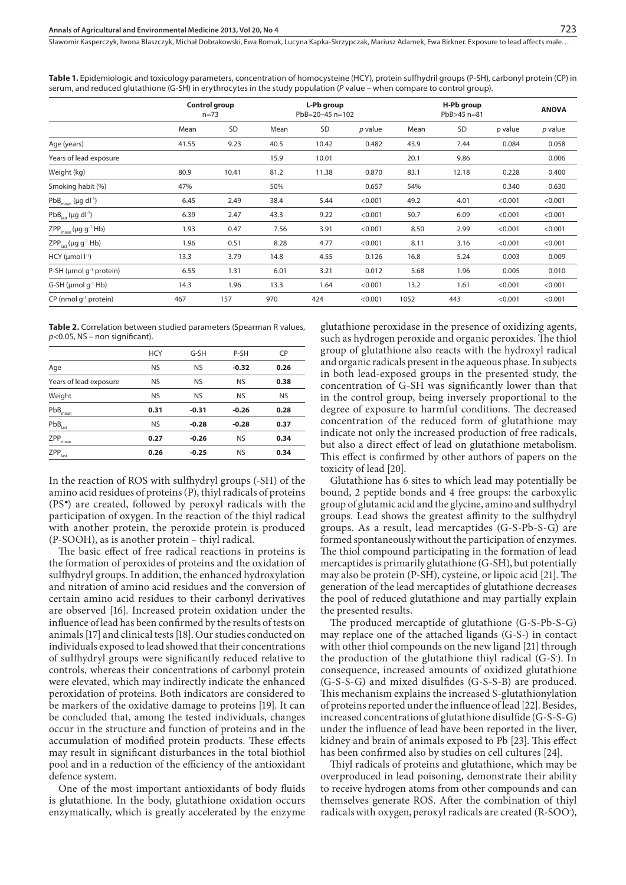Sławomir Kasperczyk, Iwona Błaszczyk, Michał Dobrakowski, Ewa Romuk, Lucyna Kapka-Skrzypczak, Mariusz Adamek, Ewa Birkner, Exposure to lead affects male…

**Control group** n=73 **L-Pb group** PbB=20–45 n=102 **H-Pb group H-Pb group<br>PbB>45 n=81 ANOVA** Mean SD Mean SD *p* value Mean SD *p* value *p* value Age (years) 41.55 9.23 40.5 10.42 0.482 43.9 7.44 0.084 0.058 Years of lead exposure 15.9 10.01 20.1 9.86 0.006 Weight (kg) 80.9 10.41 81.2 11.38 0.870 83.1 12.18 0.228 0.400 Smoking habit (%) 6.30 (1.630) 6.630 (1.631) 50% 0.657 54% 0.637 (1.631) 50% 0.530 0.530 0.530 0.530 0.530 0.530 PbB<sub>mean</sub> (µg dl<sup>. 1</sup>) 6.45 2.49 38.4 5.44 <0.001 49.2 4.01 <0.001 <0.001 PbBlast (µg dl-1) 6.39 2.47 43.3 9.22 <0.001 50.7 6.09 <0.001 <0.001 ZPPmean (µg g-1 Hb) 1.93 0.47 7.56 3.91 <0.001 8.50 2.99 <0.001 <0.001 ZPPlast (µg g-1 Hb) 1.96 0.51 8.28 4.77 <0.001 8.11 3.16 <0.001 <0.001 HCY (µmol l-1) 13.3 3.79 14.8 4.55 0.126 16.8 5.24 0.003 0.009 P-SH (µmol g<sup>-1</sup> protein) 6.55 1.31 6.01 3.21 0.012 5.68 1.96 0.005 0.010 G-SH (µmol g-1 Hb) 14.3 1.96 13.3 1.64 <0.001 13.2 1.61 <0.001 <0.001 CP (nmol g-1 protein) 467 157 970 424 <0.001 1052 443 <0.001 <0.001

**Table 1.** Epidemiologic and toxicology parameters, concentration of homocysteine (HCY), protein sulfhydril groups (P-SH), carbonyl protein (CP) in serum, and reduced glutathione (G-SH) in erythrocytes in the study population (*P* value – when compare to control group).

**Table 2.** Correlation between studied parameters (Spearman R values, *p*<0.05, NS – non significant).

|                        | <b>HCY</b> | $G-SH$    | P-SH      | CP        |
|------------------------|------------|-----------|-----------|-----------|
| Age                    | <b>NS</b>  | <b>NS</b> | $-0.32$   | 0.26      |
| Years of lead exposure | <b>NS</b>  | <b>NS</b> | <b>NS</b> | 0.38      |
| Weight                 | <b>NS</b>  | <b>NS</b> | <b>NS</b> | <b>NS</b> |
| PbB<br>mean            | 0.31       | $-0.31$   | $-0.26$   | 0.28      |
| PbB <sub>last</sub>    | <b>NS</b>  | $-0.28$   | $-0.28$   | 0.37      |
| ZPP<br>mean            | 0.27       | $-0.26$   | <b>NS</b> | 0.34      |
| ZPP<br>last            | 0.26       | $-0.25$   | <b>NS</b> | 0.34      |

In the reaction of ROS with sulfhydryl groups (-SH) of the amino acid residues of proteins (P), thiyl radicals of proteins (PS● ) are created, followed by peroxyl radicals with the participation of oxygen. In the reaction of the thiyl radical with another protein, the peroxide protein is produced (P-SOOH), as is another protein – thiyl radical.

The basic effect of free radical reactions in proteins is the formation of peroxides of proteins and the oxidation of sulfhydryl groups. In addition, the enhanced hydroxylation and nitration of amino acid residues and the conversion of certain amino acid residues to their carbonyl derivatives are observed [16]. Increased protein oxidation under the influence of lead has been confirmed by the results of tests on animals [17] and clinical tests [18]. Our studies conducted on individuals exposed to lead showed that their concentrations of sulfhydryl groups were significantly reduced relative to controls, whereas their concentrations of carbonyl protein were elevated, which may indirectly indicate the enhanced peroxidation of proteins. Both indicators are considered to be markers of the oxidative damage to proteins [19]. It can be concluded that, among the tested individuals, changes occur in the structure and function of proteins and in the accumulation of modified protein products. These effects may result in significant disturbances in the total biothiol pool and in a reduction of the efficiency of the antioxidant defence system.

One of the most important antioxidants of body fluids is glutathione. In the body, glutathione oxidation occurs enzymatically, which is greatly accelerated by the enzyme glutathione peroxidase in the presence of oxidizing agents, such as hydrogen peroxide and organic peroxides. The thiol group of glutathione also reacts with the hydroxyl radical and organic radicals present in the aqueous phase. In subjects in both lead-exposed groups in the presented study, the concentration of G-SH was significantly lower than that in the control group, being inversely proportional to the degree of exposure to harmful conditions. The decreased concentration of the reduced form of glutathione may indicate not only the increased production of free radicals, but also a direct effect of lead on glutathione metabolism. This effect is confirmed by other authors of papers on the toxicity of lead [20].

Glutathione has 6 sites to which lead may potentially be bound, 2 peptide bonds and 4 free groups: the carboxylic group of glutamic acid and the glycine, amino and sulfhydryl groups. Lead shows the greatest affinity to the sulfhydryl groups. As a result, lead mercaptides (G-S-Pb-S-G) are formed spontaneously without the participation of enzymes. The thiol compound participating in the formation of lead mercaptides is primarily glutathione (G-SH), but potentially may also be protein (P-SH), cysteine, or lipoic acid [21]. The generation of the lead mercaptides of glutathione decreases the pool of reduced glutathione and may partially explain the presented results.

The produced mercaptide of glutathione (G-S-Pb-S-G) may replace one of the attached ligands (G-S-) in contact with other thiol compounds on the new ligand [21] through the production of the glutathione thiyl radical (G-S). In consequence, increased amounts of oxidized glutathione (G-S-S-G) and mixed disulfides (G-S-S-B) are produced. This mechanism explains the increased S-glutathionylation of proteins reported under the influence of lead [22]. Besides, increased concentrations of glutathione disulfide (G-S-S-G) under the influence of lead have been reported in the liver, kidney and brain of animals exposed to Pb [23]. This effect has been confirmed also by studies on cell cultures [24].

Thiyl radicals of proteins and glutathione, which may be overproduced in lead poisoning, demonstrate their ability to receive hydrogen atoms from other compounds and can themselves generate ROS. After the combination of thiyl radicals with oxygen, peroxyl radicals are created (R-SOO),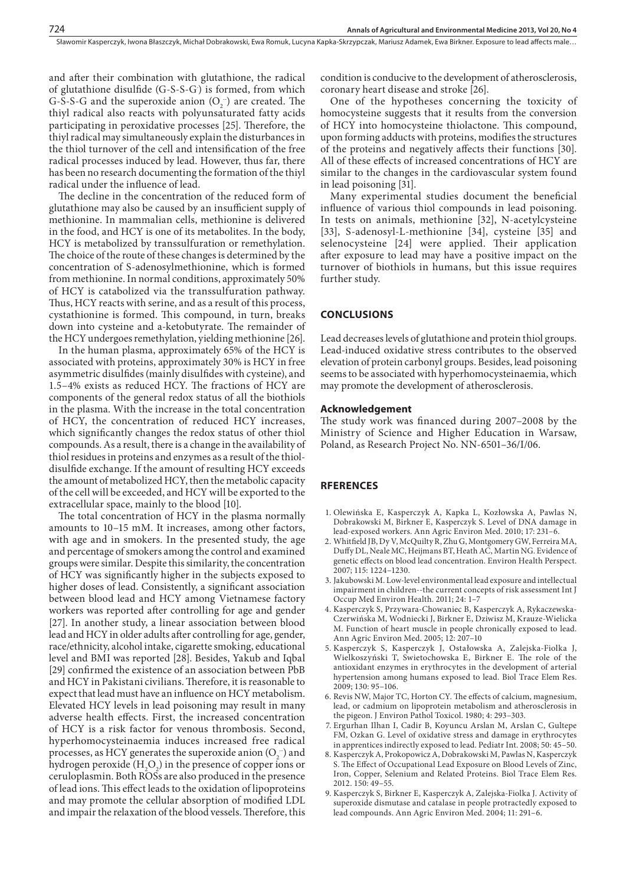and after their combination with glutathione, the radical of glutathione disulfide (G-S-S-G· ) is formed, from which G-S-S-G and the superoxide anion  $(O_2)$  are created. The thiyl radical also reacts with polyunsaturated fatty acids participating in peroxidative processes [25]. Therefore, the thiyl radical may simultaneously explain the disturbances in the thiol turnover of the cell and intensification of the free radical processes induced by lead. However, thus far, there has been no research documenting the formation of the thiyl radical under the influence of lead.

The decline in the concentration of the reduced form of glutathione may also be caused by an insufficient supply of methionine. In mammalian cells, methionine is delivered in the food, and HCY is one of its metabolites. In the body, HCY is metabolized by transsulfuration or remethylation. The choice of the route of these changes is determined by the concentration of S-adenosylmethionine, which is formed from methionine. In normal conditions, approximately 50% of HCY is catabolized via the transsulfuration pathway. Thus, HCY reacts with serine, and as a result of this process, cystathionine is formed. This compound, in turn, breaks down into cysteine and a-ketobutyrate. The remainder of the HCY undergoes remethylation, yielding methionine [26].

In the human plasma, approximately 65% of the HCY is associated with proteins, approximately 30% is HCY in free asymmetric disulfides (mainly disulfides with cysteine), and 1.5–4% exists as reduced HCY. The fractions of HCY are components of the general redox status of all the biothiols in the plasma. With the increase in the total concentration of HCY, the concentration of reduced HCY increases, which significantly changes the redox status of other thiol compounds. As a result, there is a change in the availability of thiol residues in proteins and enzymes as a result of the thioldisulfide exchange. If the amount of resulting HCY exceeds the amount of metabolized HCY, then the metabolic capacity of the cell will be exceeded, and HCY will be exported to the extracellular space, mainly to the blood [10].

The total concentration of HCY in the plasma normally amounts to 10–15 mM. It increases, among other factors, with age and in smokers. In the presented study, the age and percentage of smokers among the control and examined groups were similar. Despite this similarity, the concentration of HCY was significantly higher in the subjects exposed to higher doses of lead. Consistently, a significant association between blood lead and HCY among Vietnamese factory workers was reported after controlling for age and gender [27]. In another study, a linear association between blood lead and HCY in older adults after controlling for age, gender, race/ethnicity, alcohol intake, cigarette smoking, educational level and BMI was reported [28]. Besides, Yakub and Iqbal [29] confirmed the existence of an association between PbB and HCY in Pakistani civilians. Therefore, it is reasonable to expect that lead must have an influence on HCY metabolism. Elevated HCY levels in lead poisoning may result in many adverse health effects. First, the increased concentration of HCY is a risk factor for venous thrombosis. Second, hyperhomocysteinaemia induces increased free radical processes, as HCY generates the superoxide anion  $(O_2^-)$  and hydrogen peroxide  $(H_2O_2)$  in the presence of copper ions or ceruloplasmin. Both ROSs are also produced in the presence of lead ions. This effect leads to the oxidation of lipoproteins and may promote the cellular absorption of modified LDL and impair the relaxation of the blood vessels. Therefore, this condition is conducive to the development of atherosclerosis, coronary heart disease and stroke [26].

One of the hypotheses concerning the toxicity of homocysteine suggests that it results from the conversion of HCY into homocysteine thiolactone. This compound, upon forming adducts with proteins, modifies the structures of the proteins and negatively affects their functions [30]. All of these effects of increased concentrations of HCY are similar to the changes in the cardiovascular system found in lead poisoning [31].

Many experimental studies document the beneficial influence of various thiol compounds in lead poisoning. In tests on animals, methionine [32], N-acetylcysteine [33], S-adenosyl-L-methionine [34], cysteine [35] and selenocysteine [24] were applied. Their application after exposure to lead may have a positive impact on the turnover of biothiols in humans, but this issue requires further study.

### **CONCLUSIONS**

Lead decreases levels of glutathione and protein thiol groups. Lead-induced oxidative stress contributes to the observed elevation of protein carbonyl groups. Besides, lead poisoning seems to be associated with hyperhomocysteinaemia, which may promote the development of atherosclerosis.

### **Acknowledgement**

The study work was financed during 2007–2008 by the Ministry of Science and Higher Education in Warsaw, Poland, as Research Project No. NN-6501–36/I/06.

# **RFERENCES**

- 1. Olewińska E, Kasperczyk A, Kapka L, Kozłowska A, Pawlas N, Dobrakowski M, Birkner E, Kasperczyk S. Level of DNA damage in lead-exposed workers. Ann Agric Environ Med. 2010; 17: 231–6.
- 2. Whitfield JB, Dy V, McQuilty R, Zhu G, Montgomery GW, Ferreira MA, Duffy DL, Neale MC, Heijmans BT, Heath AC, Martin NG. Evidence of genetic effects on blood lead concentration. Environ Health Perspect. 2007; 115: 1224–1230.
- 3. Jakubowski M. Low-level environmental lead exposure and intellectual impairment in children--the current concepts of risk assessment Int J Occup Med Environ Health. 2011; 24: 1–7
- 4. Kasperczyk S, Przywara-Chowaniec B, Kasperczyk A, Rykaczewska-Czerwińska M, Wodniecki J, Birkner E, Dziwisz M, Krauze-Wielicka M. Function of heart muscle in people chronically exposed to lead. Ann Agric Environ Med. 2005; 12: 207–10
- 5. Kasperczyk S, Kasperczyk J, Ostałowska A, Zalejska-Fiolka J, Wielkoszyński T, Swietochowska E, Birkner E. The role of the antioxidant enzymes in erythrocytes in the development of arterial hypertension among humans exposed to lead. Biol Trace Elem Res. 2009; 130: 95–106.
- 6. Revis NW, Major TC, Horton CY. The effects of calcium, magnesium, lead, or cadmium on lipoprotein metabolism and atherosclerosis in the pigeon. J Environ Pathol Toxicol. 1980; 4: 293–303.
- 7. Ergurhan Ilhan I, Cadir B, Koyuncu Arslan M, Arslan C, Gultepe FM, Ozkan G. Level of oxidative stress and damage in erythrocytes in apprentices indirectly exposed to lead. Pediatr Int. 2008; 50: 45–50.
- 8. Kasperczyk A, Prokopowicz A, Dobrakowski M, Pawlas N, Kasperczyk S. The Effect of Occupational Lead Exposure on Blood Levels of Zinc, Iron, Copper, Selenium and Related Proteins. Biol Trace Elem Res. 2012. 150: 49–55.
- 9. Kasperczyk S, Birkner E, Kasperczyk A, Zalejska-Fiolka J. Activity of superoxide dismutase and catalase in people protractedly exposed to lead compounds. Ann Agric Environ Med. 2004; 11: 291–6.